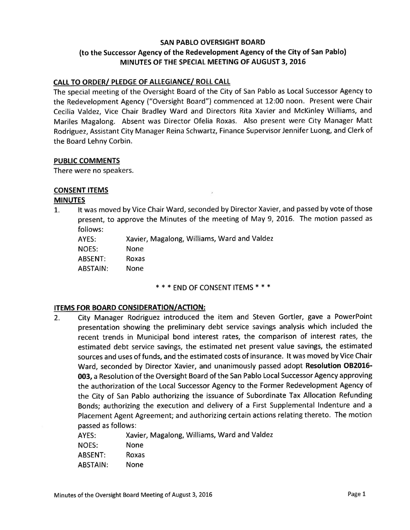## SAN PABLO OVERSIGHT BOARD to the Successor Agency of the Redevelopment Agency of the City of San Pablo) MINUTES OF THE SPECIAL MEETING OF AUGUST 3, 2016

### CALL TO ORDER/ PLEDGE OF ALLEGIANCE/ ROLL CALL

The special meeting of the Oversight Board of the City of San Pablo as Local Successor Agency to the Redevelopment Agency ("Oversight Board") commenced at 12:00 noon. Present were Chair Cecilia Valdez, Vice Chair Bradley Ward and Directors Rita Xavier and McKinley Williams, and Mariles Magalong. Absent was Director Ofelia Roxas. Also present were City Manager Matt Rodriguez, Assistant City Manager Reina Schwartz, Finance Supervisor Jennifer Luong, and Clerk of the Board Lehny Corbin.

#### PUBLIC COMMENTS

There were no speakers.

#### CONSENT ITEMS

#### MINUTES

1. It was moved by Vice Chair Ward, seconded by Director Xavier, and passed by vote of those present, to approve the Minutes of the meeting of May 9, 2016. The motion passed as follows:

AYES: Xavier, Magalong, Williams, Ward and Valdez

NOES: None ABSENT: Roxas

ABSTAIN: None

#### \* \* \* END OF CONSENT ITEMS \* \* \*

#### ITEMS FOR BOARD CONSIDERATION/ACTION:

2. City Manager Rodriguez introduced the item and Steven Gortler, gave <sup>a</sup> PowerPoint presentation showing the preliminary debt service savings analysis which included the recent trends in Municipal bond interest rates, the comparison of interest rates, the estimated debt service savings, the estimated net present value savings, the estimated sources and uses of funds, and the estimated costs of insurance. It was moved by Vice Chair Ward, seconded by Director Xavier, and unanimously passed adopt Resolution OB2016- 003, a Resolution of the Oversight Board of the San Pablo Local Successor Agency approving the authorization of the Local Successor Agency to the Former Redevelopment Agency of the City of San Pablo authorizing the issuance of Subordinate Tax Allocation Refunding Bonds; authorizing the execution and delivery of <sup>a</sup> First Supplemental Indenture and <sup>a</sup> Placement Agent Agreement; and authorizing certain actions relating thereto. The motion passed as follows:

AYES: Xavier, Magalong, Williams, Ward and Valdez NOES: None ABSENT: Roxas ABSTAIN: None